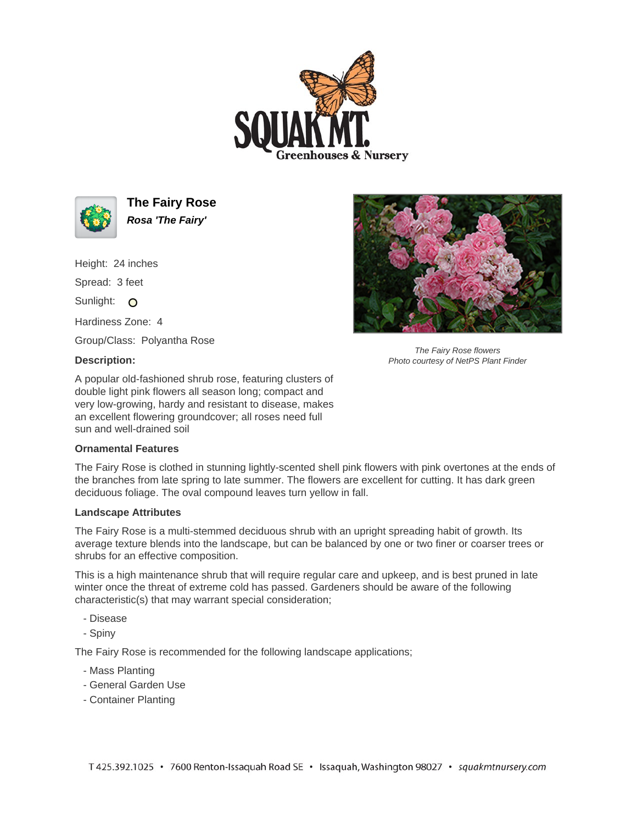



**The Fairy Rose Rosa 'The Fairy'**

Height: 24 inches

Spread: 3 feet

Sunlight: O

Hardiness Zone: 4

Group/Class: Polyantha Rose

## **Description:**

A popular old-fashioned shrub rose, featuring clusters of double light pink flowers all season long; compact and very low-growing, hardy and resistant to disease, makes an excellent flowering groundcover; all roses need full sun and well-drained soil

## **Ornamental Features**

The Fairy Rose is clothed in stunning lightly-scented shell pink flowers with pink overtones at the ends of the branches from late spring to late summer. The flowers are excellent for cutting. It has dark green deciduous foliage. The oval compound leaves turn yellow in fall.

## **Landscape Attributes**

The Fairy Rose is a multi-stemmed deciduous shrub with an upright spreading habit of growth. Its average texture blends into the landscape, but can be balanced by one or two finer or coarser trees or shrubs for an effective composition.

This is a high maintenance shrub that will require regular care and upkeep, and is best pruned in late winter once the threat of extreme cold has passed. Gardeners should be aware of the following characteristic(s) that may warrant special consideration;

- Disease
- Spiny

The Fairy Rose is recommended for the following landscape applications;

- Mass Planting
- General Garden Use
- Container Planting



The Fairy Rose flowers Photo courtesy of NetPS Plant Finder